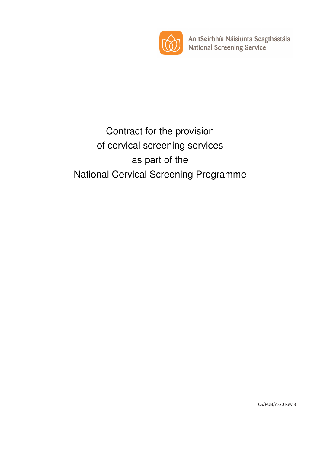

An tSeirbhís Náisiúnta Scagthástála National Screening Service

# Contract for the provision of cervical screening services as part of the National Cervical Screening Programme

CS/PUB/A-20 Rev 3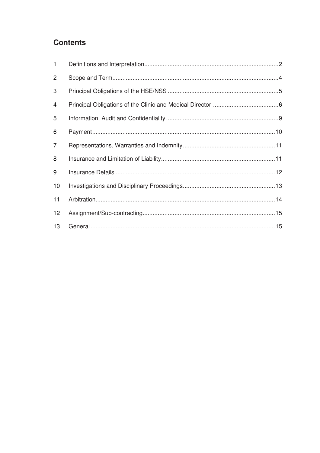# **Contents**

| $\mathbf{1}$   |  |
|----------------|--|
| $\overline{2}$ |  |
| 3              |  |
| 4              |  |
| 5              |  |
| 6              |  |
| $\overline{7}$ |  |
| 8              |  |
| 9              |  |
| 10             |  |
| 11             |  |
| 12             |  |
| 13             |  |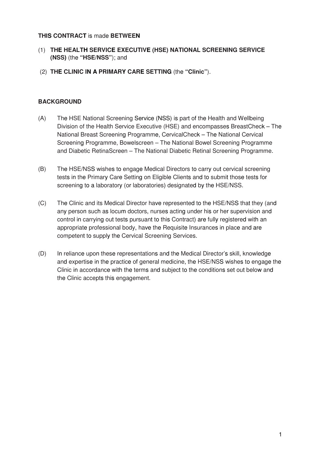#### **THIS CONTRACT** is made **BETWEEN**

- (1) **THE HEALTH SERVICE EXECUTIVE (HSE) NATIONAL SCREENING SERVICE (NSS)** (the **"HSE/NSS"**); and
- (2) **THE CLINIC IN A PRIMARY CARE SETTING** (the **"Clinic"**).

#### **BACKGROUND**

- (A) The HSE National Screening Service (NSS) is part of the Health and Wellbeing Division of the Health Service Executive (HSE) and encompasses BreastCheck – The National Breast Screening Programme, CervicalCheck – The National Cervical Screening Programme, Bowelscreen – The National Bowel Screening Programme and Diabetic RetinaScreen – The National Diabetic Retinal Screening Programme.
- (B) The HSE/NSS wishes to engage Medical Directors to carry out cervical screening tests in the Primary Care Setting on Eligible Clients and to submit those tests for screening to a laboratory (or laboratories) designated by the HSE/NSS.
- (C) The Clinic and its Medical Director have represented to the HSE/NSS that they (and any person such as locum doctors, nurses acting under his or her supervision and control in carrying out tests pursuant to this Contract) are fully registered with an appropriate professional body, have the Requisite Insurances in place and are competent to supply the Cervical Screening Services.
- (D) In reliance upon these representations and the Medical Director's skill, knowledge and expertise in the practice of general medicine, the HSE/NSS wishes to engage the Clinic in accordance with the terms and subject to the conditions set out below and the Clinic accepts this engagement.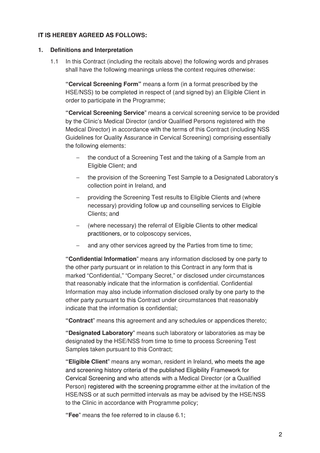## **IT IS HEREBY AGREED AS FOLLOWS:**

#### **1. Definitions and Interpretation**

1.1 In this Contract (including the recitals above) the following words and phrases shall have the following meanings unless the context requires otherwise:

**"Cervical Screening Form"** means a form (in a format prescribed by the HSE/NSS) to be completed in respect of (and signed by) an Eligible Client in order to participate in the Programme;

**"Cervical Screening Service**" means a cervical screening service to be provided by the Clinic's Medical Director (and/or Qualified Persons registered with the Medical Director) in accordance with the terms of this Contract (including NSS Guidelines for Quality Assurance in Cervical Screening) comprising essentially the following elements:

- − the conduct of a Screening Test and the taking of a Sample from an Eligible Client; and
- the provision of the Screening Test Sample to a Designated Laboratory's collection point in Ireland, and
- providing the Screening Test results to Eligible Clients and (where necessary) providing follow up and counselling services to Eligible Clients; and
- − (where necessary) the referral of Eligible Clients to other medical practitioners, or to colposcopy services,
- and any other services agreed by the Parties from time to time;

**"Confidentia**l **Information**" means any information disclosed by one party to the other party pursuant or in relation to this Contract in any form that is marked "Confidential," "Company Secret," or disclosed under circumstances that reasonably indicate that the information is confidential. Confidential Information may also include information disclosed orally by one party to the other party pursuant to this Contract under circumstances that reasonably indicate that the information is confidential;

**"Contract**" means this agreement and any schedules or appendices thereto;

**"Designated Laboratory**" means such laboratory or laboratories as may be designated by the HSE/NSS from time to time to process Screening Test Samples taken pursuant to this Contract;

**"Eligible Client**" means any woman, resident in Ireland, who meets the age and screening history criteria of the published Eligibility Framework for Cervical Screening and who attends with a Medical Director (or a Qualified Person) registered with the screening programme either at the invitation of the HSE/NSS or at such permitted intervals as may be advised by the HSE/NSS to the Clinic in accordance with Programme policy;

**"Fee**" means the fee referred to in clause 6.1;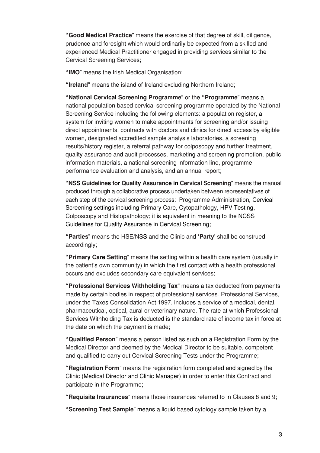**"Good Medical Practice**" means the exercise of that degree of skill, diligence, prudence and foresight which would ordinarily be expected from a skilled and experienced Medical Practitioner engaged in providing services similar to the Cervical Screening Services;

**"IMO**" means the Irish Medical Organisation;

**"Ireland**" means the island of Ireland excluding Northern Ireland;

**"National Cervical Screening Programme**" or the **"Programme**" means a national population based cervical screening programme operated by the National Screening Service including the following elements: a population register, a system for inviting women to make appointments for screening and/or issuing direct appointments, contracts with doctors and clinics for direct access by eligible women, designated accredited sample analysis laboratories, a screening results/history register, a referral pathway for colposcopy and further treatment, quality assurance and audit processes, marketing and screening promotion, public information materials, a national screening information line, programme performance evaluation and analysis, and an annual report;

**"NSS Guidelines for Quality Assurance in Cervical Screening**" means the manual produced through a collaborative process undertaken between representatives of each step of the cervical screening process: Programme Administration, Cervical Screening settings including Primary Care, Cytopathology, HPV Testing, Colposcopy and Histopathology; it is equivalent in meaning to the NCSS Guidelines for Quality Assurance in Cervical Screening;

**"Parties**" means the HSE/NSS and the Clinic and **'Party**' shall be construed accordingly;

**"Primary Care Setting**" means the setting within a health care system (usually in the patient's own community) in which the first contact with a health professional occurs and excludes secondary care equivalent services;

**"Professional Services Withholding Tax**" means a tax deducted from payments made by certain bodies in respect of professional services. Professional Services, under the Taxes Consolidation Act 1997, includes a service of a medical, dental, pharmaceutical, optical, aural or veterinary nature. The rate at which Professional Services Withholding Tax is deducted is the standard rate of income tax in force at the date on which the payment is made;

**"Qualified Person**" means a person listed as such on a Registration Form by the Medical Director and deemed by the Medical Director to be suitable, competent and qualified to carry out Cervical Screening Tests under the Programme;

**"Registration Form**" means the registration form completed and signed by the Clinic (Medical Director and Clinic Manager) in order to enter this Contract and participate in the Programme;

**"Requisite Insurances**" means those insurances referred to in Clauses 8 and 9;

**"Screening Test Sample**" means a liquid based cytology sample taken by a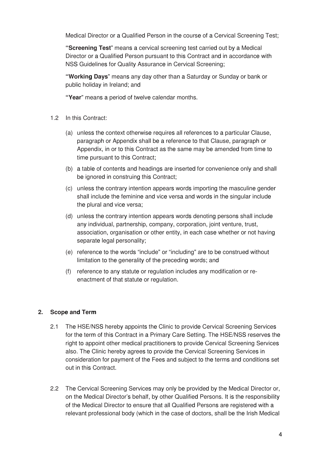Medical Director or a Qualified Person in the course of a Cervical Screening Test;

**"Screening Test**" means a cervical screening test carried out by a Medical Director or a Qualified Person pursuant to this Contract and in accordance with NSS Guidelines for Quality Assurance in Cervical Screening;

**"Working Days**" means any day other than a Saturday or Sunday or bank or public holiday in Ireland; and

**"Year**" means a period of twelve calendar months.

- 1.2 In this Contract:
	- (a) unless the context otherwise requires all references to a particular Clause, paragraph or Appendix shall be a reference to that Clause, paragraph or Appendix, in or to this Contract as the same may be amended from time to time pursuant to this Contract;
	- (b) a table of contents and headings are inserted for convenience only and shall be ignored in construing this Contract;
	- (c) unless the contrary intention appears words importing the masculine gender shall include the feminine and vice versa and words in the singular include the plural and vice versa;
	- (d) unless the contrary intention appears words denoting persons shall include any individual, partnership, company, corporation, joint venture, trust, association, organisation or other entity, in each case whether or not having separate legal personality;
	- (e) reference to the words "include" or "including" are to be construed without limitation to the generality of the preceding words; and
	- (f) reference to any statute or regulation includes any modification or reenactment of that statute or regulation.

#### **2. Scope and Term**

- 2.1 The HSE/NSS hereby appoints the Clinic to provide Cervical Screening Services for the term of this Contract in a Primary Care Setting. The HSE/NSS reserves the right to appoint other medical practitioners to provide Cervical Screening Services also. The Clinic hereby agrees to provide the Cervical Screening Services in consideration for payment of the Fees and subject to the terms and conditions set out in this Contract.
- 2.2 The Cervical Screening Services may only be provided by the Medical Director or, on the Medical Director's behalf, by other Qualified Persons. It is the responsibility of the Medical Director to ensure that all Qualified Persons are registered with a relevant professional body (which in the case of doctors, shall be the Irish Medical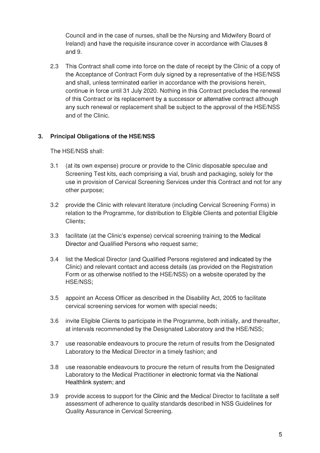Council and in the case of nurses, shall be the Nursing and Midwifery Board of Ireland) and have the requisite insurance cover in accordance with Clauses 8 and 9.

2.3 This Contract shall come into force on the date of receipt by the Clinic of a copy of the Acceptance of Contract Form duly signed by a representative of the HSE/NSS and shall, unless terminated earlier in accordance with the provisions herein, continue in force until 31 July 2020. Nothing in this Contract precludes the renewal of this Contract or its replacement by a successor or alternative contract although any such renewal or replacement shall be subject to the approval of the HSE/NSS and of the Clinic.

# **3. Principal Obligations of the HSE/NSS**

The HSE/NSS shall:

- 3.1 (at its own expense) procure or provide to the Clinic disposable speculae and Screening Test kits, each comprising a vial, brush and packaging, solely for the use in provision of Cervical Screening Services under this Contract and not for any other purpose;
- 3.2 provide the Clinic with relevant literature (including Cervical Screening Forms) in relation to the Programme, for distribution to Eligible Clients and potential Eligible Clients;
- 3.3 facilitate (at the Clinic's expense) cervical screening training to the Medical Director and Qualified Persons who request same;
- 3.4 list the Medical Director (and Qualified Persons registered and indicated by the Clinic) and relevant contact and access details (as provided on the Registration Form or as otherwise notified to the HSE/NSS) on a website operated by the HSE/NSS;
- 3.5 appoint an Access Officer as described in the Disability Act, 2005 to facilitate cervical screening services for women with special needs;
- 3.6 invite Eligible Clients to participate in the Programme, both initially, and thereafter, at intervals recommended by the Designated Laboratory and the HSE/NSS;
- 3.7 use reasonable endeavours to procure the return of results from the Designated Laboratory to the Medical Director in a timely fashion; and
- 3.8 use reasonable endeavours to procure the return of results from the Designated Laboratory to the Medical Practitioner in electronic format via the National Healthlink system; and
- 3.9 provide access to support for the Clinic and the Medical Director to facilitate a self assessment of adherence to quality standards described in NSS Guidelines for Quality Assurance in Cervical Screening.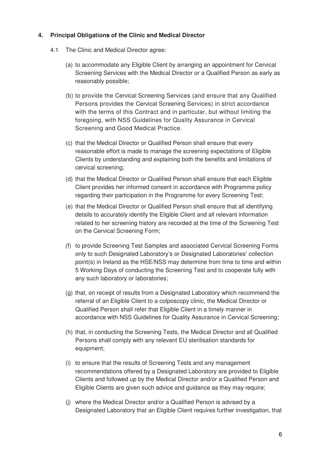#### **4. Principal Obligations of the Clinic and Medical Director**

- 4.1 The Clinic and Medical Director agree:
	- (a) to accommodate any Eligible Client by arranging an appointment for Cervical Screening Services with the Medical Director or a Qualified Person as early as reasonably possible;
	- (b) to provide the Cervical Screening Services (and ensure that any Qualified Persons provides the Cervical Screening Services) in strict accordance with the terms of this Contract and in particular, but without limiting the foregoing, with NSS Guidelines for Quality Assurance in Cervical Screening and Good Medical Practice.
	- (c) that the Medical Director or Qualified Person shall ensure that every reasonable effort is made to manage the screening expectations of Eligible Clients by understanding and explaining both the benefits and limitations of cervical screening;
	- (d) that the Medical Director or Qualified Person shall ensure that each Eligible Client provides her informed consent in accordance with Programme policy regarding their participation in the Programme for every Screening Test;
	- (e) that the Medical Director or Qualified Person shall ensure that all identifying details to accurately identify the Eligible Client and all relevant information related to her screening history are recorded at the time of the Screening Test on the Cervical Screening Form;
	- (f) to provide Screening Test Samples and associated Cervical Screening Forms only to such Designated Laboratory's or Designated Laboratories' collection point(s) in Ireland as the HSE/NSS may determine from time to time and within 5 Working Days of conducting the Screening Test and to cooperate fully with any such laboratory or laboratories;
	- (g) that, on receipt of results from a Designated Laboratory which recommend the referral of an Eligible Client to a colposcopy clinic, the Medical Director or Qualified Person shall refer that Eligible Client in a timely manner in accordance with NSS Guidelines for Quality Assurance in Cervical Screening;
	- (h) that, in conducting the Screening Tests, the Medical Director and all Qualified Persons shall comply with any relevant EU sterilisation standards for equipment;
	- (i) to ensure that the results of Screening Tests and any management recommendations offered by a Designated Laboratory are provided to Eligible Clients and followed up by the Medical Director and/or a Qualified Person and Eligible Clients are given such advice and guidance as they may require;
	- (j) where the Medical Director and/or a Qualified Person is advised by a Designated Laboratory that an Eligible Client requires further investigation, that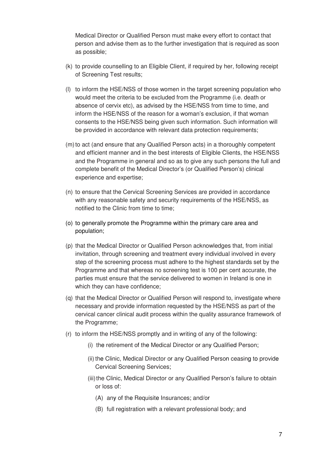Medical Director or Qualified Person must make every effort to contact that person and advise them as to the further investigation that is required as soon as possible;

- (k) to provide counselling to an Eligible Client, if required by her, following receipt of Screening Test results;
- (l) to inform the HSE/NSS of those women in the target screening population who would meet the criteria to be excluded from the Programme (i.e. death or absence of cervix etc), as advised by the HSE/NSS from time to time, and inform the HSE/NSS of the reason for a woman's exclusion, if that woman consents to the HSE/NSS being given such information. Such information will be provided in accordance with relevant data protection requirements;
- (m) to act (and ensure that any Qualified Person acts) in a thoroughly competent and efficient manner and in the best interests of Eligible Clients, the HSE/NSS and the Programme in general and so as to give any such persons the full and complete benefit of the Medical Director's (or Qualified Person's) clinical experience and expertise;
- (n) to ensure that the Cervical Screening Services are provided in accordance with any reasonable safety and security requirements of the HSE/NSS, as notified to the Clinic from time to time;
- (o) to generally promote the Programme within the primary care area and population;
- (p) that the Medical Director or Qualified Person acknowledges that, from initial invitation, through screening and treatment every individual involved in every step of the screening process must adhere to the highest standards set by the Programme and that whereas no screening test is 100 per cent accurate, the parties must ensure that the service delivered to women in Ireland is one in which they can have confidence:
- (q) that the Medical Director or Qualified Person will respond to, investigate where necessary and provide information requested by the HSE/NSS as part of the cervical cancer clinical audit process within the quality assurance framework of the Programme;
- (r) to inform the HSE/NSS promptly and in writing of any of the following:
	- (i) the retirement of the Medical Director or any Qualified Person;
	- (ii) the Clinic, Medical Director or any Qualified Person ceasing to provide Cervical Screening Services;
	- (iii) the Clinic, Medical Director or any Qualified Person's failure to obtain or loss of:
		- (A) any of the Requisite Insurances; and/or
		- (B) full registration with a relevant professional body; and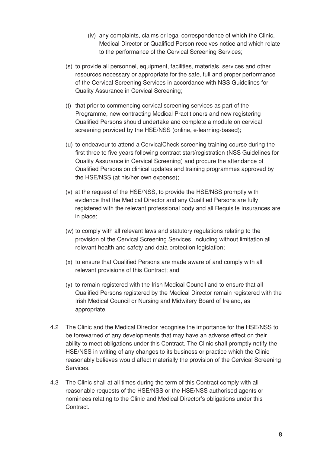- (iv) any complaints, claims or legal correspondence of which the Clinic, Medical Director or Qualified Person receives notice and which relate to the performance of the Cervical Screening Services;
- (s) to provide all personnel, equipment, facilities, materials, services and other resources necessary or appropriate for the safe, full and proper performance of the Cervical Screening Services in accordance with NSS Guidelines for Quality Assurance in Cervical Screening;
- (t) that prior to commencing cervical screening services as part of the Programme, new contracting Medical Practitioners and new registering Qualified Persons should undertake and complete a module on cervical screening provided by the HSE/NSS (online, e-learning-based);
- (u) to endeavour to attend a CervicalCheck screening training course during the first three to five years following contract start/registration (NSS Guidelines for Quality Assurance in Cervical Screening) and procure the attendance of Qualified Persons on clinical updates and training programmes approved by the HSE/NSS (at his/her own expense);
- (v) at the request of the HSE/NSS, to provide the HSE/NSS promptly with evidence that the Medical Director and any Qualified Persons are fully registered with the relevant professional body and all Requisite Insurances are in place;
- (w) to comply with all relevant laws and statutory regulations relating to the provision of the Cervical Screening Services, including without limitation all relevant health and safety and data protection legislation;
- (x) to ensure that Qualified Persons are made aware of and comply with all relevant provisions of this Contract; and
- (y) to remain registered with the Irish Medical Council and to ensure that all Qualified Persons registered by the Medical Director remain registered with the Irish Medical Council or Nursing and Midwifery Board of Ireland, as appropriate.
- 4.2 The Clinic and the Medical Director recognise the importance for the HSE/NSS to be forewarned of any developments that may have an adverse effect on their ability to meet obligations under this Contract. The Clinic shall promptly notify the HSE/NSS in writing of any changes to its business or practice which the Clinic reasonably believes would affect materially the provision of the Cervical Screening Services.
- 4.3 The Clinic shall at all times during the term of this Contract comply with all reasonable requests of the HSE/NSS or the HSE/NSS authorised agents or nominees relating to the Clinic and Medical Director's obligations under this Contract.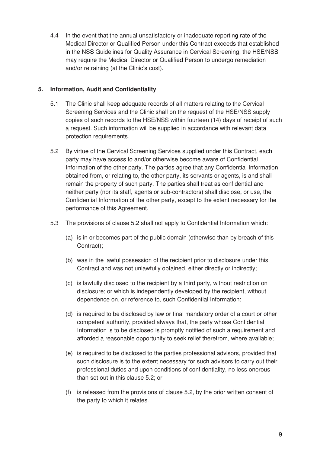4.4 In the event that the annual unsatisfactory or inadequate reporting rate of the Medical Director or Qualified Person under this Contract exceeds that established in the NSS Guidelines for Quality Assurance in Cervical Screening, the HSE/NSS may require the Medical Director or Qualified Person to undergo remediation and/or retraining (at the Clinic's cost).

### **5. Information, Audit and Confidentiality**

- 5.1 The Clinic shall keep adequate records of all matters relating to the Cervical Screening Services and the Clinic shall on the request of the HSE/NSS supply copies of such records to the HSE/NSS within fourteen (14) days of receipt of such a request. Such information will be supplied in accordance with relevant data protection requirements.
- 5.2 By virtue of the Cervical Screening Services supplied under this Contract, each party may have access to and/or otherwise become aware of Confidential Information of the other party. The parties agree that any Confidential Information obtained from, or relating to, the other party, its servants or agents, is and shall remain the property of such party. The parties shall treat as confidential and neither party (nor its staff, agents or sub-contractors) shall disclose, or use, the Confidential Information of the other party, except to the extent necessary for the performance of this Agreement.
- 5.3 The provisions of clause 5.2 shall not apply to Confidential Information which:
	- (a) is in or becomes part of the public domain (otherwise than by breach of this Contract);
	- (b) was in the lawful possession of the recipient prior to disclosure under this Contract and was not unlawfully obtained, either directly or indirectly;
	- (c) is lawfully disclosed to the recipient by a third party, without restriction on disclosure; or which is independently developed by the recipient, without dependence on, or reference to, such Confidential Information;
	- (d) is required to be disclosed by law or final mandatory order of a court or other competent authority, provided always that, the party whose Confidential Information is to be disclosed is promptly notified of such a requirement and afforded a reasonable opportunity to seek relief therefrom, where available;
	- (e) is required to be disclosed to the parties professional advisors, provided that such disclosure is to the extent necessary for such advisors to carry out their professional duties and upon conditions of confidentiality, no less onerous than set out in this clause 5.2; or
	- (f) is released from the provisions of clause 5.2, by the prior written consent of the party to which it relates.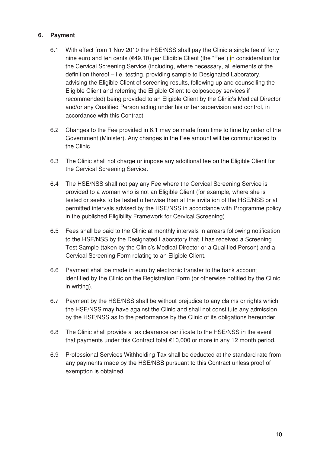## **6. Payment**

- 6.1 With effect from 1 Nov 2010 the HSE/NSS shall pay the Clinic a single fee of forty nine euro and ten cents ( $\epsilon$ 49.10) per Eligible Client (the "Fee") in consideration for the Cervical Screening Service (including, where necessary, all elements of the definition thereof – i.e. testing, providing sample to Designated Laboratory, advising the Eligible Client of screening results, following up and counselling the Eligible Client and referring the Eligible Client to colposcopy services if recommended) being provided to an Eligible Client by the Clinic's Medical Director and/or any Qualified Person acting under his or her supervision and control, in accordance with this Contract.
- 6.2 Changes to the Fee provided in 6.1 may be made from time to time by order of the Government (Minister). Any changes in the Fee amount will be communicated to the Clinic.
- 6.3 The Clinic shall not charge or impose any additional fee on the Eligible Client for the Cervical Screening Service.
- 6.4 The HSE/NSS shall not pay any Fee where the Cervical Screening Service is provided to a woman who is not an Eligible Client (for example, where she is tested or seeks to be tested otherwise than at the invitation of the HSE/NSS or at permitted intervals advised by the HSE/NSS in accordance with Programme policy in the published Eligibility Framework for Cervical Screening).
- 6.5 Fees shall be paid to the Clinic at monthly intervals in arrears following notification to the HSE/NSS by the Designated Laboratory that it has received a Screening Test Sample (taken by the Clinic's Medical Director or a Qualified Person) and a Cervical Screening Form relating to an Eligible Client.
- 6.6 Payment shall be made in euro by electronic transfer to the bank account identified by the Clinic on the Registration Form (or otherwise notified by the Clinic in writing).
- 6.7 Payment by the HSE/NSS shall be without prejudice to any claims or rights which the HSE/NSS may have against the Clinic and shall not constitute any admission by the HSE/NSS as to the performance by the Clinic of its obligations hereunder.
- 6.8 The Clinic shall provide a tax clearance certificate to the HSE/NSS in the event that payments under this Contract total €10,000 or more in any 12 month period.
- 6.9 Professional Services Withholding Tax shall be deducted at the standard rate from any payments made by the HSE/NSS pursuant to this Contract unless proof of exemption is obtained.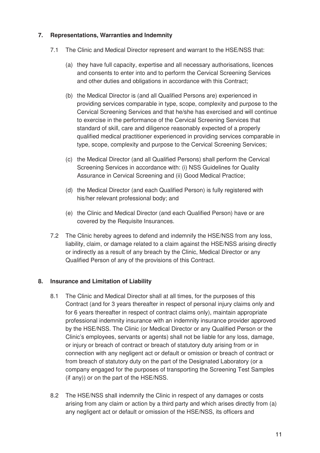# **7. Representations, Warranties and Indemnity**

- 7.1 The Clinic and Medical Director represent and warrant to the HSE/NSS that:
	- (a) they have full capacity, expertise and all necessary authorisations, licences and consents to enter into and to perform the Cervical Screening Services and other duties and obligations in accordance with this Contract;
	- (b) the Medical Director is (and all Qualified Persons are) experienced in providing services comparable in type, scope, complexity and purpose to the Cervical Screening Services and that he/she has exercised and will continue to exercise in the performance of the Cervical Screening Services that standard of skill, care and diligence reasonably expected of a properly qualified medical practitioner experienced in providing services comparable in type, scope, complexity and purpose to the Cervical Screening Services;
	- (c) the Medical Director (and all Qualified Persons) shall perform the Cervical Screening Services in accordance with: (i) NSS Guidelines for Quality Assurance in Cervical Screening and (ii) Good Medical Practice;
	- (d) the Medical Director (and each Qualified Person) is fully registered with his/her relevant professional body; and
	- (e) the Clinic and Medical Director (and each Qualified Person) have or are covered by the Requisite Insurances.
- 7.2 The Clinic hereby agrees to defend and indemnify the HSE/NSS from any loss, liability, claim, or damage related to a claim against the HSE/NSS arising directly or indirectly as a result of any breach by the Clinic, Medical Director or any Qualified Person of any of the provisions of this Contract.

#### **8. Insurance and Limitation of Liability**

- 8.1 The Clinic and Medical Director shall at all times, for the purposes of this Contract (and for 3 years thereafter in respect of personal injury claims only and for 6 years thereafter in respect of contract claims only), maintain appropriate professional indemnity insurance with an indemnity insurance provider approved by the HSE/NSS. The Clinic (or Medical Director or any Qualified Person or the Clinic's employees, servants or agents) shall not be liable for any loss, damage, or injury or breach of contract or breach of statutory duty arising from or in connection with any negligent act or default or omission or breach of contract or from breach of statutory duty on the part of the Designated Laboratory (or a company engaged for the purposes of transporting the Screening Test Samples (if any)) or on the part of the HSE/NSS.
- 8.2 The HSE/NSS shall indemnify the Clinic in respect of any damages or costs arising from any claim or action by a third party and which arises directly from (a) any negligent act or default or omission of the HSE/NSS, its officers and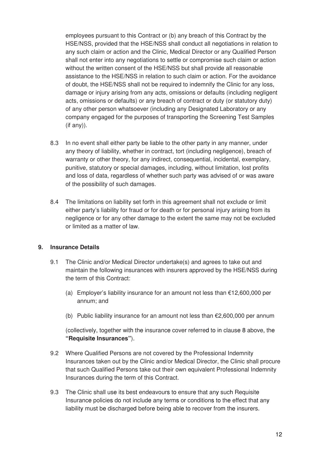employees pursuant to this Contract or (b) any breach of this Contract by the HSE/NSS, provided that the HSE/NSS shall conduct all negotiations in relation to any such claim or action and the Clinic, Medical Director or any Qualified Person shall not enter into any negotiations to settle or compromise such claim or action without the written consent of the HSE/NSS but shall provide all reasonable assistance to the HSE/NSS in relation to such claim or action. For the avoidance of doubt, the HSE/NSS shall not be required to indemnify the Clinic for any loss, damage or injury arising from any acts, omissions or defaults (including negligent acts, omissions or defaults) or any breach of contract or duty (or statutory duty) of any other person whatsoever (including any Designated Laboratory or any company engaged for the purposes of transporting the Screening Test Samples (if any)).

- 8.3 In no event shall either party be liable to the other party in any manner, under any theory of liability, whether in contract, tort (including negligence), breach of warranty or other theory, for any indirect, consequential, incidental, exemplary, punitive, statutory or special damages, including, without limitation, lost profits and loss of data, regardless of whether such party was advised of or was aware of the possibility of such damages.
- 8.4 The limitations on liability set forth in this agreement shall not exclude or limit either party's liability for fraud or for death or for personal injury arising from its negligence or for any other damage to the extent the same may not be excluded or limited as a matter of law.

#### **9. Insurance Details**

- 9.1 The Clinic and/or Medical Director undertake(s) and agrees to take out and maintain the following insurances with insurers approved by the HSE/NSS during the term of this Contract:
	- (a) Employer's liability insurance for an amount not less than €12,600,000 per annum; and
	- (b) Public liability insurance for an amount not less than  $E2,600,000$  per annum

(collectively, together with the insurance cover referred to in clause 8 above, the **"Requisite Insurances"**).

- 9.2 Where Qualified Persons are not covered by the Professional Indemnity Insurances taken out by the Clinic and/or Medical Director, the Clinic shall procure that such Qualified Persons take out their own equivalent Professional Indemnity Insurances during the term of this Contract.
- 9.3 The Clinic shall use its best endeavours to ensure that any such Requisite Insurance policies do not include any terms or conditions to the effect that any liability must be discharged before being able to recover from the insurers.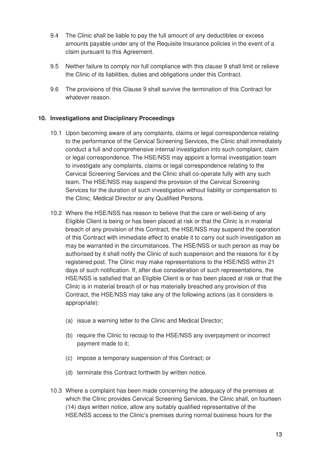- 9.4 The Clinic shall be liable to pay the full amount of any deductibles or excess amounts payable under any of the Requisite Insurance policies in the event of a claim pursuant to this Agreement.
- 9.5 Neither failure to comply nor full compliance with this clause 9 shall limit or relieve the Clinic of its liabilities, duties and obligations under this Contract.
- 9.6 The provisions of this Clause 9 shall survive the termination of this Contract for whatever reason.

#### **10. Investigations and Disciplinary Proceedings**

- 10.1 Upon becoming aware of any complaints, claims or legal correspondence relating to the performance of the Cervical Screening Services, the Clinic shall immediately conduct a full and comprehensive internal investigation into such complaint, claim or legal correspondence. The HSE/NSS may appoint a formal investigation team to investigate any complaints, claims or legal correspondence relating to the Cervical Screening Services and the Clinic shall co-operate fully with any such team. The HSE/NSS may suspend the provision of the Cervical Screening Services for the duration of such investigation without liability or compensation to the Clinic, Medical Director or any Qualified Persons.
- 10.2 Where the HSE/NSS has reason to believe that the care or well-being of any Eligible Client is being or has been placed at risk or that the Clinic is in material breach of any provision of this Contract, the HSE/NSS may suspend the operation of this Contract with immediate effect to enable it to carry out such investigation as may be warranted in the circumstances. The HSE/NSS or such person as may be authorised by it shall notify the Clinic of such suspension and the reasons for it by registered post. The Clinic may make representations to the HSE/NSS within 21 days of such notification. If, after due consideration of such representations, the HSE/NSS is satisfied that an Eligible Client is or has been placed at risk or that the Clinic is in material breach of or has materially breached any provision of this Contract, the HSE/NSS may take any of the following actions (as it considers is appropriate):
	- (a) issue a warning letter to the Clinic and Medical Director;
	- (b) require the Clinic to recoup to the HSE/NSS any overpayment or incorrect payment made to it;
	- (c) impose a temporary suspension of this Contract; or
	- (d) terminate this Contract forthwith by written notice.
- 10.3 Where a complaint has been made concerning the adequacy of the premises at which the Clinic provides Cervical Screening Services, the Clinic shall, on fourteen (14) days written notice, allow any suitably qualified representative of the HSE/NSS access to the Clinic's premises during normal business hours for the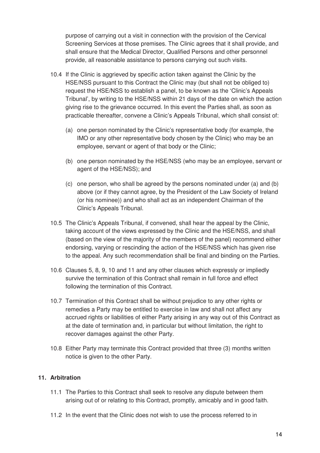purpose of carrying out a visit in connection with the provision of the Cervical Screening Services at those premises. The Clinic agrees that it shall provide, and shall ensure that the Medical Director, Qualified Persons and other personnel provide, all reasonable assistance to persons carrying out such visits.

- 10.4 If the Clinic is aggrieved by specific action taken against the Clinic by the HSE/NSS pursuant to this Contract the Clinic may (but shall not be obliged to) request the HSE/NSS to establish a panel, to be known as the 'Clinic's Appeals Tribunal', by writing to the HSE/NSS within 21 days of the date on which the action giving rise to the grievance occurred. In this event the Parties shall, as soon as practicable thereafter, convene a Clinic's Appeals Tribunal, which shall consist of:
	- (a) one person nominated by the Clinic's representative body (for example, the IMO or any other representative body chosen by the Clinic) who may be an employee, servant or agent of that body or the Clinic;
	- (b) one person nominated by the HSE/NSS (who may be an employee, servant or agent of the HSE/NSS); and
	- (c) one person, who shall be agreed by the persons nominated under (a) and (b) above (or if they cannot agree, by the President of the Law Society of Ireland (or his nominee)) and who shall act as an independent Chairman of the Clinic's Appeals Tribunal.
- 10.5 The Clinic's Appeals Tribunal, if convened, shall hear the appeal by the Clinic, taking account of the views expressed by the Clinic and the HSE/NSS, and shall (based on the view of the majority of the members of the panel) recommend either endorsing, varying or rescinding the action of the HSE/NSS which has given rise to the appeal. Any such recommendation shall be final and binding on the Parties.
- 10.6 Clauses 5, 8, 9, 10 and 11 and any other clauses which expressly or impliedly survive the termination of this Contract shall remain in full force and effect following the termination of this Contract.
- 10.7 Termination of this Contract shall be without prejudice to any other rights or remedies a Party may be entitled to exercise in law and shall not affect any accrued rights or liabilities of either Party arising in any way out of this Contract as at the date of termination and, in particular but without limitation, the right to recover damages against the other Party.
- 10.8 Either Party may terminate this Contract provided that three (3) months written notice is given to the other Party.

#### **11. Arbitration**

- 11.1 The Parties to this Contract shall seek to resolve any dispute between them arising out of or relating to this Contract, promptly, amicably and in good faith.
- 11.2 In the event that the Clinic does not wish to use the process referred to in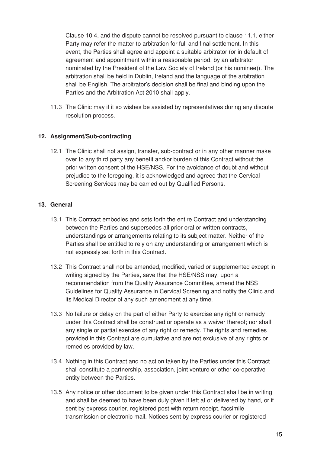Clause 10.4, and the dispute cannot be resolved pursuant to clause 11.1, either Party may refer the matter to arbitration for full and final settlement. In this event, the Parties shall agree and appoint a suitable arbitrator (or in default of agreement and appointment within a reasonable period, by an arbitrator nominated by the President of the Law Society of Ireland (or his nominee)). The arbitration shall be held in Dublin, Ireland and the language of the arbitration shall be English. The arbitrator's decision shall be final and binding upon the Parties and the Arbitration Act 2010 shall apply.

11.3 The Clinic may if it so wishes be assisted by representatives during any dispute resolution process.

#### **12. Assignment/Sub-contracting**

12.1 The Clinic shall not assign, transfer, sub-contract or in any other manner make over to any third party any benefit and/or burden of this Contract without the prior written consent of the HSE/NSS. For the avoidance of doubt and without prejudice to the foregoing, it is acknowledged and agreed that the Cervical Screening Services may be carried out by Qualified Persons.

#### **13. General**

- 13.1 This Contract embodies and sets forth the entire Contract and understanding between the Parties and supersedes all prior oral or written contracts, understandings or arrangements relating to its subject matter. Neither of the Parties shall be entitled to rely on any understanding or arrangement which is not expressly set forth in this Contract.
- 13.2 This Contract shall not be amended, modified, varied or supplemented except in writing signed by the Parties, save that the HSE/NSS may, upon a recommendation from the Quality Assurance Committee, amend the NSS Guidelines for Quality Assurance in Cervical Screening and notify the Clinic and its Medical Director of any such amendment at any time.
- 13.3 No failure or delay on the part of either Party to exercise any right or remedy under this Contract shall be construed or operate as a waiver thereof; nor shall any single or partial exercise of any right or remedy. The rights and remedies provided in this Contract are cumulative and are not exclusive of any rights or remedies provided by law.
- 13.4 Nothing in this Contract and no action taken by the Parties under this Contract shall constitute a partnership, association, joint venture or other co-operative entity between the Parties.
- 13.5 Any notice or other document to be given under this Contract shall be in writing and shall be deemed to have been duly given if left at or delivered by hand, or if sent by express courier, registered post with return receipt, facsimile transmission or electronic mail. Notices sent by express courier or registered